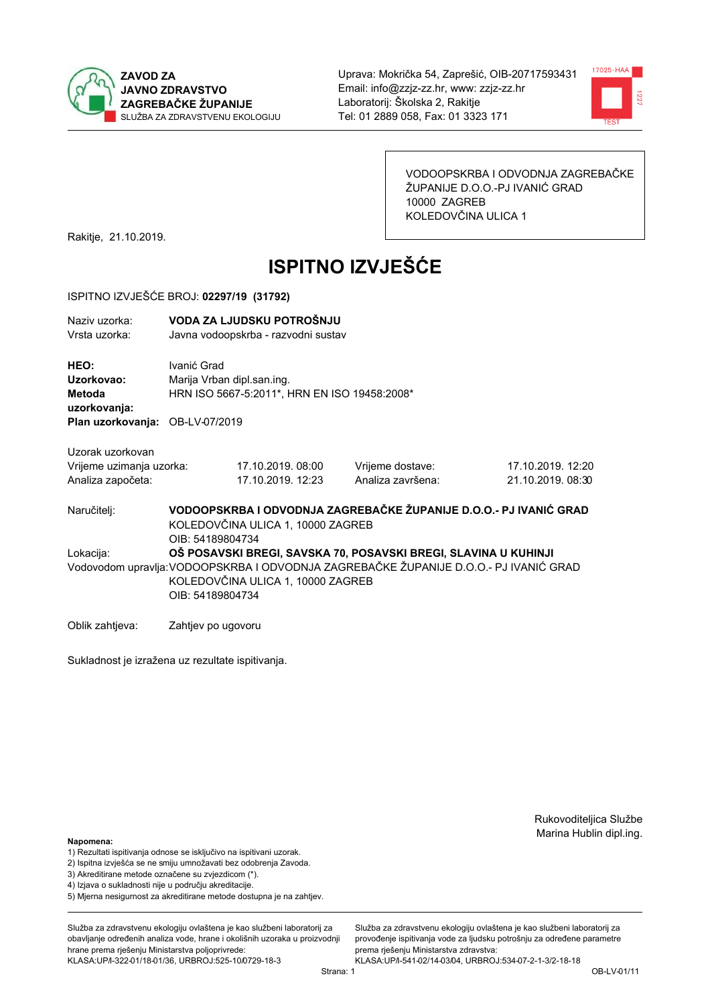



VODOOPSKRBA I ODVODNJA ZAGREBAČKE ŽUPANIJE D.O.O.-PJ IVANIĆ GRAD 10000 ZAGREB KOLEDOVČINA ULICA 1

Rakitje, 21.10.2019.

# **ISPITNO IZVJEŠĆE**

#### ISPITNO IZVJEŠĆE BROJ: 02297/19 (31792)

| Naziv uzorka: | VODA ZA LJUDSKU POTROŠNJU           |
|---------------|-------------------------------------|
| Vrsta uzorka: | Javna vodoopskrba - razvodni sustav |

HEO: Ivanić Grad Uzorkovao: Marija Vrban dipl.san.ing. HRN ISO 5667-5:2011\*, HRN EN ISO 19458:2008\* Metoda uzorkovanja: Plan uzorkovanja: OB-LV-07/2019

17.10.2019.08:00

17.10.2019. 12:23

Uzorak uzorkovan Vrijeme uzimanja uzorka: Analiza započeta:

Vrijeme dostave: Analiza završena:

17.10.2019. 12:20 21 10 2019 08:30

VODOOPSKRBA I ODVODNJA ZAGREBAČKE ŽUPANIJE D.O.O.- PJ IVANIĆ GRAD Naručitelj: KOLEDOVČINA ULICA 1, 10000 ZAGREB OIB: 54189804734 Lokacija: OŠ POSAVSKI BREGI, SAVSKA 70. POSAVSKI BREGI, SLAVINA U KUHINJI Vodovodom upravlja: VODOOPSKRBA I ODVODNJA ZAGREBAČKE ŽUPANIJE D.O.O.- PJ IVANIĆ GRAD KOLEDOVČINA ULICA 1, 10000 ZAGREB OIB: 54189804734

Oblik zahtjeva: Zahtjev po ugovoru

Sukladnost je izražena uz rezultate ispitivanja.

Rukovoditeljica Službe Marina Hublin dipl.ing.

Napomena:

- 1) Rezultati ispitivanja odnose se isključivo na ispitivani uzorak.
- 2) Ispitna izvješća se ne smiju umnožavati bez odobrenja Zavoda.

3) Akreditirane metode označene su zvjezdicom (\*).

- 4) Iziava o sukladnosti nije u područiu akreditacije.
- 5) Mjerna nesigurnost za akreditirane metode dostupna je na zahtjev.

Služba za zdravstvenu ekologiju ovlaštena je kao službeni laboratorij za obavlianie određenih analiza vode, hrane i okolišnih uzoraka u proizvodniji hrane prema rješenju Ministarstva poljoprivrede: KLASA:UP/l-322-01/18-01/36, URBROJ:525-10/0729-18-3

Služba za zdravstvenu ekologiju ovlaštena je kao službeni laboratorij za provođenie ispitivania vode za liudsku potrošniu za određene parametre prema riešenju Ministarstva zdravstva:

KLASA:UP/l-541-02/14-03/04, URBROJ:534-07-2-1-3/2-18-18 Strana: 1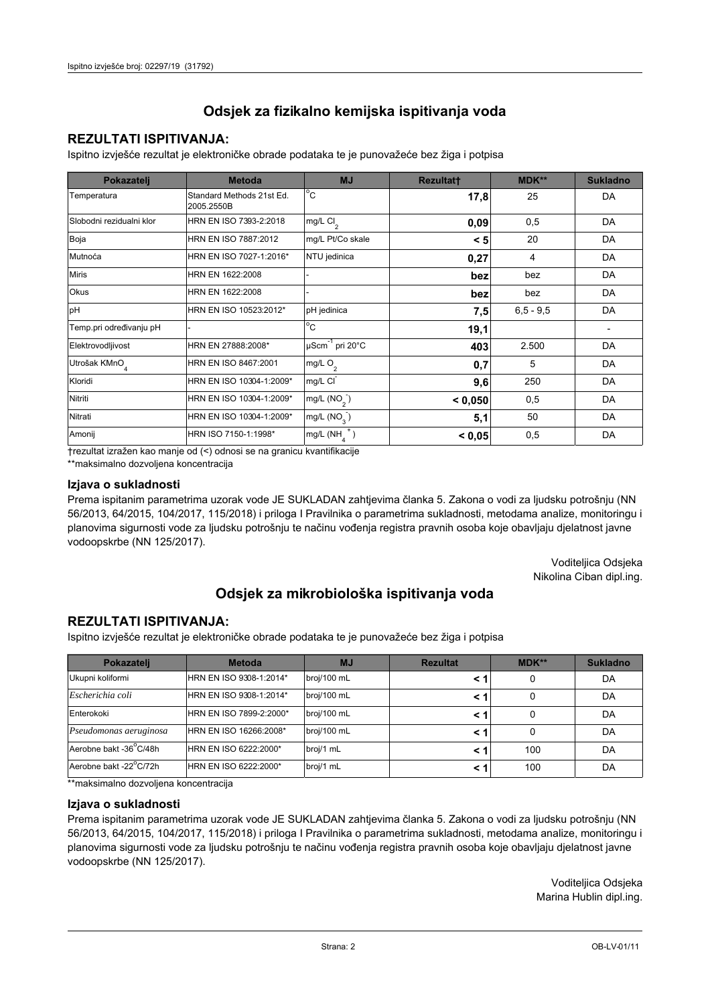## **REZULTATI ISPITIVANJA:**

Ispitno izviešće rezultat je elektroničke obrade podataka te je punovažeće bez žiga i potpisa

| Pokazatelj                | <b>Metoda</b>                           | <b>MJ</b>               | <b>Rezultatt</b> | MDK**         | <b>Sukladno</b> |
|---------------------------|-----------------------------------------|-------------------------|------------------|---------------|-----------------|
| Temperatura               | Standard Methods 21st Ed.<br>2005.2550B | $^{\circ}$ C            | 17,8             | 25            | DA              |
| Slobodni rezidualni klor  | HRN EN ISO 7393-2:2018                  | mg/L $Cl2$              | 0,09             | 0,5           | DA              |
| Boja                      | HRN EN ISO 7887:2012                    | mg/L Pt/Co skale        | < 5              | 20            | DA              |
| Mutnoća                   | HRN EN ISO 7027-1:2016*                 | NTU jedinica            | 0,27             | 4             | DA              |
| <b>Miris</b>              | HRN EN 1622:2008                        |                         | bez              | bez           | DA              |
| Okus                      | HRN EN 1622:2008                        |                         | bez              | bez           | DA              |
| pH                        | HRN EN ISO 10523:2012*                  | pH jedinica             | 7,5              | $6, 5 - 9, 5$ | DA              |
| Temp.pri određivanju pH   |                                         | $^{\circ}$ C            | 19,1             |               |                 |
| Elektrovodljivost         | HRN EN 27888:2008*                      | µScm-1 pri 20°C         | 403              | 2.500         | DA              |
| Utrošak KMnO <sub>4</sub> | HRN EN ISO 8467:2001                    | mg/L $O2$               | 0,7              | 5             | DA              |
| Kloridi                   | HRN EN ISO 10304-1:2009*                | mg/L CI                 | 9,6              | 250           | DA              |
| Nitriti                   | HRN EN ISO 10304-1:2009*                | mg/L (NO <sub>2</sub> ) | < 0.050          | 0,5           | DA              |
| Nitrati                   | HRN EN ISO 10304-1:2009*                | mg/L (NO <sub>3</sub> ) | 5,1              | 50            | DA              |
| Amonij                    | HRN ISO 7150-1:1998*                    | mg/L (NH                | < 0,05           | 0,5           | DA              |

trezultat izražen kao manje od (<) odnosi se na granicu kvantifikacije

\*\*maksimalno dozvoljena koncentracija

#### Izjava o sukladnosti

Prema ispitanim parametrima uzorak vode JE SUKLADAN zahtievima članka 5. Zakona o vodi za ljudsku potrošnju (NN 56/2013, 64/2015, 104/2017, 115/2018) i priloga I Pravilnika o parametrima sukladnosti, metodama analize, monitoringu i planovima sigurnosti vode za ljudsku potrošnju te načinu vođenja registra pravnih osoba koje obavljaju djelatnost javne vodoopskrbe (NN 125/2017).

> Voditeljica Odsjeka Nikolina Ciban dipl.ing.

## Odsjek za mikrobiološka ispitivanja voda

### **REZULTATI ISPITIVANJA:**

Ispitno izvješće rezultat je elektroničke obrade podataka te je punovažeće bez žiga i potpisa

| Pokazatelj             | <b>Metoda</b>           | <b>MJ</b>   | <b>Rezultat</b> | MDK** | <b>Sukladno</b> |
|------------------------|-------------------------|-------------|-----------------|-------|-----------------|
| Ukupni koliformi       | HRN EN ISO 9308-1:2014* | broj/100 mL |                 | 0     | DA              |
| Escherichia coli       | HRN EN ISO 9308-1:2014* | broj/100 mL |                 | 0     | DA              |
| Enterokoki             | HRN EN ISO 7899-2:2000* | broj/100 mL |                 | 0     | DA              |
| Pseudomonas aeruginosa | HRN EN ISO 16266:2008*  | broj/100 mL | < 1             | 0     | DA              |
| Aerobne bakt -36 C/48h | HRN EN ISO 6222:2000*   | broj/1 mL   |                 | 100   | DA              |
| Aerobne bakt -22°C/72h | HRN EN ISO 6222:2000*   | broj/1 mL   |                 | 100   | DA              |

\*\*maksimalno dozvoljena koncentracija

#### Izjava o sukladnosti

Prema ispitanim parametrima uzorak vode JE SUKLADAN zahtjevima članka 5. Zakona o vodi za ljudsku potrošnju (NN 56/2013, 64/2015, 104/2017, 115/2018) i priloga I Pravilnika o parametrima sukladnosti, metodama analize, monitoringu i planovima sigurnosti vode za ljudsku potrošnju te načinu vođenja registra pravnih osoba koje obavljaju djelatnost javne vodoopskrbe (NN 125/2017).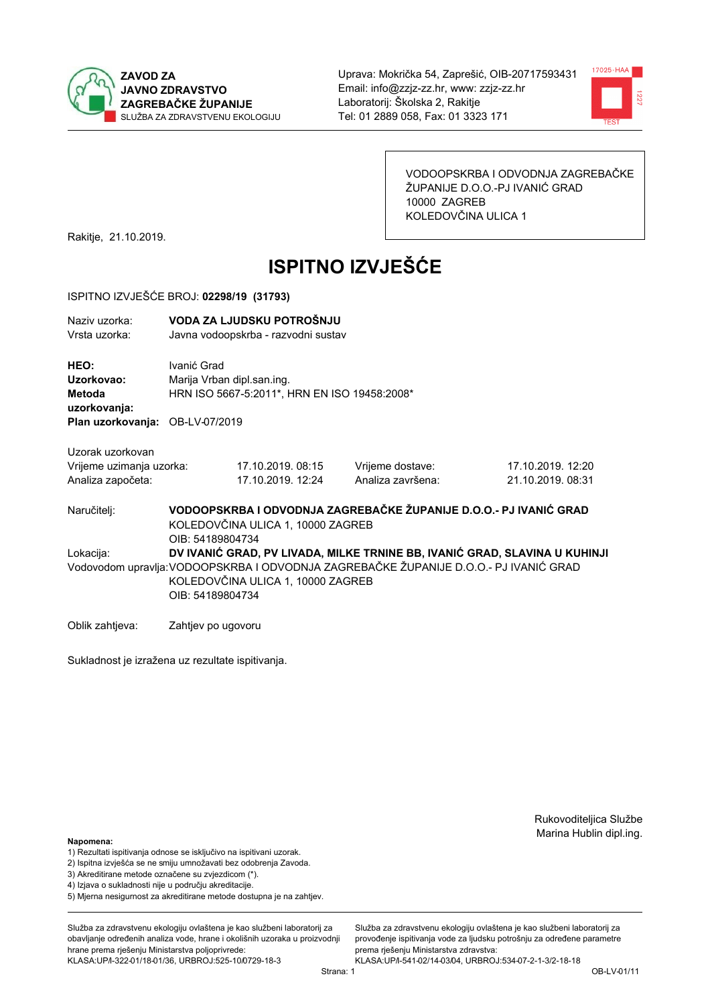



VODOOPSKRBA I ODVODNJA ZAGREBAČKE ŽUPANIJE D.O.O.-PJ IVANIĆ GRAD 10000 ZAGREB KOLEDOVČINA ULICA 1

Rakitje, 21.10.2019.

# **ISPITNO IZVJEŠĆE**

#### ISPITNO IZVJEŠĆE BROJ: 02298/19 (31793)

| Naziv uzorka: | VODA ZA LJUDSKU POTROŠNJU           |
|---------------|-------------------------------------|
| Vrsta uzorka: | Javna vodoopskrba - razvodni sustav |

HEO: Ivanić Grad Uzorkovao: Marija Vrban dipl.san.ing. Metoda HRN ISO 5667-5:2011\*, HRN EN ISO 19458:2008\* uzorkovanja:

Plan uzorkovanja: OB-LV-07/2019

| Uzorak uzorkovan       |  |
|------------------------|--|
| Vrijeme uzimanja uzork |  |

| Vrijeme uzimanja uzorka: | 17.10.2019.08:15  | Vrijeme dostave:  |
|--------------------------|-------------------|-------------------|
| Analiza započeta:        | 17.10.2019. 12:24 | Analiza završena: |

17.10.2019. 12:20 21 10 2019 08:31

Naručitelj:

Lokacija:

VODOOPSKRBA I ODVODNJA ZAGREBAČKE ŽUPANIJE D.O.O.- PJ IVANIĆ GRAD KOLEDOVČINA ULICA 1, 10000 ZAGREB OIB: 54189804734 DV IVANIĆ GRAD. PV LIVADA, MILKE TRNINE BB, IVANIĆ GRAD, SLAVINA U KUHINJI Vodovodom upravlja: VODOOPSKRBA I ODVODNJA ZAGREBAČKE ŽUPANIJE D.O.O.- PJ IVANIĆ GRAD KOLEDOVČINA ULICA 1, 10000 ZAGREB OIB: 54189804734

Oblik zahtjeva: Zahtjev po ugovoru

Sukladnost je izražena uz rezultate ispitivanja.

Rukovoditeljica Službe Marina Hublin dipl.ing.

Napomena:

- 1) Rezultati ispitivanja odnose se isključivo na ispitivani uzorak.
- 2) Ispitna izvješća se ne smiju umnožavati bez odobrenja Zavoda.
- 3) Akreditirane metode označene su zvjezdicom (\*).
- 4) Iziava o sukladnosti nije u području akreditacije.
- 5) Mjerna nesigurnost za akreditirane metode dostupna je na zahtjev.

Služba za zdravstvenu ekologiju ovlaštena je kao službeni laboratorij za obavlianie određenih analiza vode, hrane i okolišnih uzoraka u proizvodniji hrane prema rješenju Ministarstva poljoprivrede:

KLASA:UP/l-322-01/18-01/36, URBROJ:525-10/0729-18-3

Služba za zdravstvenu ekologiju ovlaštena je kao službeni laboratorij za provođenie ispitivania vode za liudsku potrošniu za određene parametre prema riešenju Ministarstva zdravstva: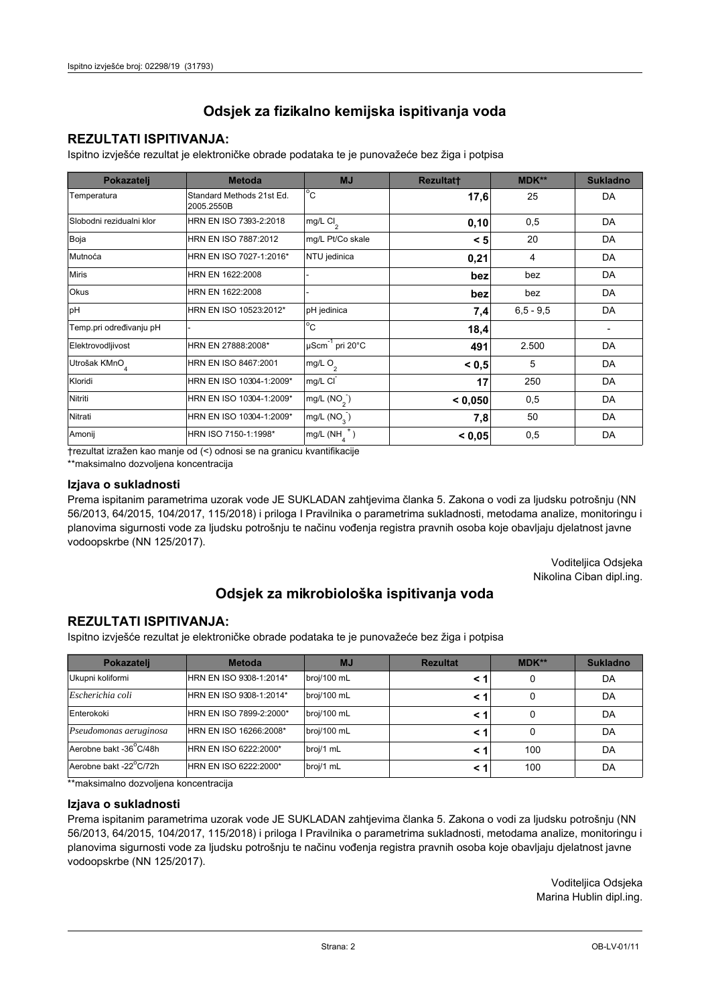## **REZULTATI ISPITIVANJA:**

Ispitno izviešće rezultat je elektroničke obrade podataka te je punovažeće bez žiga i potpisa

| Pokazatelj                | <b>Metoda</b>                           | <b>MJ</b>               | <b>Rezultatt</b> | MDK**         | <b>Sukladno</b> |
|---------------------------|-----------------------------------------|-------------------------|------------------|---------------|-----------------|
| Temperatura               | Standard Methods 21st Ed.<br>2005.2550B | $^{\circ}$ C            | 17,6             | 25            | DA              |
| Slobodni rezidualni klor  | HRN EN ISO 7393-2:2018                  | mg/L $Cl2$              | 0, 10            | 0,5           | DA              |
| Boja                      | HRN EN ISO 7887:2012                    | mg/L Pt/Co skale        | < 5              | 20            | DA              |
| Mutnoća                   | HRN EN ISO 7027-1:2016*                 | NTU jedinica            | 0,21             | 4             | DA              |
| <b>Miris</b>              | HRN EN 1622:2008                        |                         | bez              | bez           | DA              |
| Okus                      | HRN EN 1622:2008                        |                         | bez              | bez           | DA              |
| pH                        | HRN EN ISO 10523:2012*                  | pH jedinica             | 7,4              | $6, 5 - 9, 5$ | DA              |
| Temp.pri određivanju pH   |                                         | $^{\circ}$ C            | 18,4             |               |                 |
| Elektrovodljivost         | HRN EN 27888:2008*                      | µScm-1 pri 20°C         | 491              | 2.500         | DA              |
| Utrošak KMnO <sub>4</sub> | HRN EN ISO 8467:2001                    | mg/L $O2$               | < 0.5            | 5             | DA              |
| Kloridi                   | HRN EN ISO 10304-1:2009*                | mg/L CI                 | 17               | 250           | DA              |
| Nitriti                   | HRN EN ISO 10304-1:2009*                | mg/L (NO <sub>2</sub> ) | < 0.050          | 0,5           | DA              |
| Nitrati                   | HRN EN ISO 10304-1:2009*                | mg/L (NO <sub>3</sub> ) | 7,8              | 50            | DA              |
| Amonij                    | HRN ISO 7150-1:1998*                    | mg/L (NH                | < 0,05           | 0,5           | DA              |

trezultat izražen kao manje od (<) odnosi se na granicu kvantifikacije

\*\*maksimalno dozvoljena koncentracija

#### Izjava o sukladnosti

Prema ispitanim parametrima uzorak vode JE SUKLADAN zahtievima članka 5. Zakona o vodi za ljudsku potrošnju (NN 56/2013, 64/2015, 104/2017, 115/2018) i priloga I Pravilnika o parametrima sukladnosti, metodama analize, monitoringu i planovima sigurnosti vode za ljudsku potrošnju te načinu vođenja registra pravnih osoba koje obavljaju djelatnost javne vodoopskrbe (NN 125/2017).

> Voditeljica Odsjeka Nikolina Ciban dipl.ing.

## Odsjek za mikrobiološka ispitivanja voda

### **REZULTATI ISPITIVANJA:**

Ispitno izvješće rezultat je elektroničke obrade podataka te je punovažeće bez žiga i potpisa

| Pokazatelj             | <b>Metoda</b>           | <b>MJ</b>   | <b>Rezultat</b> | MDK** | <b>Sukladno</b> |
|------------------------|-------------------------|-------------|-----------------|-------|-----------------|
| Ukupni koliformi       | HRN EN ISO 9308-1:2014* | broj/100 mL |                 | 0     | DA              |
| Escherichia coli       | HRN EN ISO 9308-1:2014* | broj/100 mL |                 | 0     | DA              |
| Enterokoki             | HRN EN ISO 7899-2:2000* | broj/100 mL |                 | 0     | DA              |
| Pseudomonas aeruginosa | HRN EN ISO 16266:2008*  | broj/100 mL | < 1             | 0     | DA              |
| Aerobne bakt -36 C/48h | HRN EN ISO 6222:2000*   | broj/1 mL   |                 | 100   | DA              |
| Aerobne bakt -22°C/72h | HRN EN ISO 6222:2000*   | broj/1 mL   |                 | 100   | DA              |

\*\*maksimalno dozvoljena koncentracija

#### Izjava o sukladnosti

Prema ispitanim parametrima uzorak vode JE SUKLADAN zahtjevima članka 5. Zakona o vodi za ljudsku potrošnju (NN 56/2013, 64/2015, 104/2017, 115/2018) i priloga I Pravilnika o parametrima sukladnosti, metodama analize, monitoringu i planovima sigurnosti vode za ljudsku potrošnju te načinu vođenja registra pravnih osoba koje obavljaju djelatnost javne vodoopskrbe (NN 125/2017).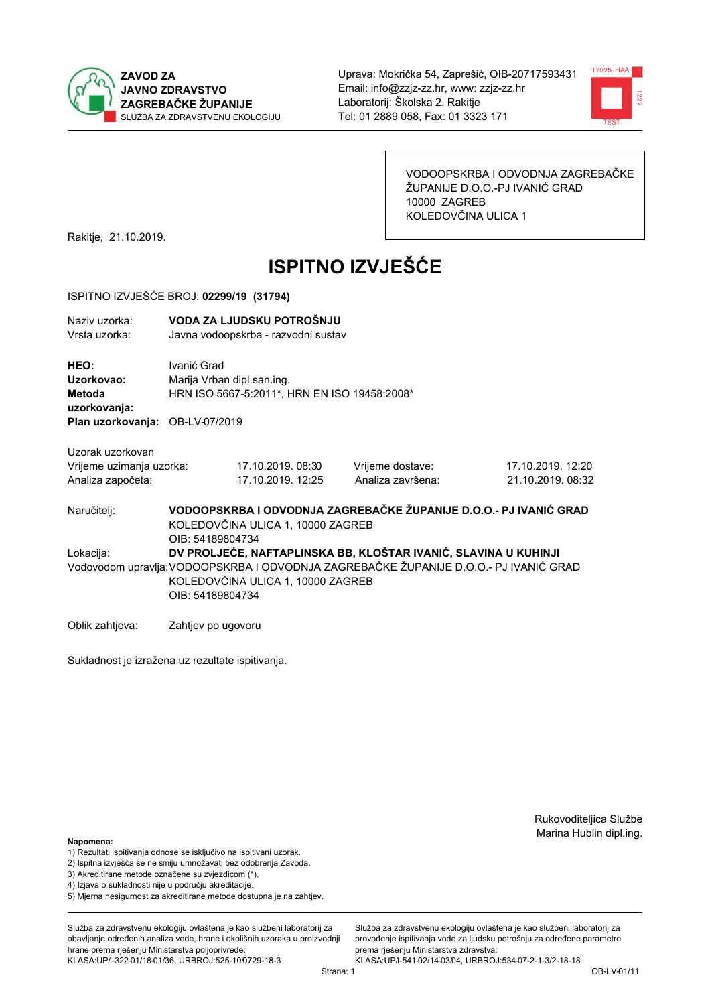



VODOOPSKRBA I ODVODNJA ZAGREBAČKE ŽUPANIJE D.O.O.-PJ IVANIĆ GRAD 10000 ZAGREB KOLEDOVČINA ULICA 1

Rakitje, 21.10.2019.

# **ISPITNO IZVJEŠĆE**

#### ISPITNO IZVJEŠĆE BROJ: 02299/19 (31794)

| Naziv uzorka:<br>Vrsta uzorka:                      | VODA ZA LJUDSKU POTROŠNJU<br>Javna vodoopskrba - razvodni sustav                          |
|-----------------------------------------------------|-------------------------------------------------------------------------------------------|
| <b>HEO:</b><br>Uzorkovao:<br>Metoda<br>uzorkovanja: | Ivanić Grad<br>Marija Vrban dipl.san.ing.<br>HRN ISO 5667-5:2011*, HRN EN ISO 19458:2008* |
| <b>Plan uzorkovanja: OB-LV-07/2019</b>              |                                                                                           |

17.10.2019.08:30

17.10.2019. 12:25

Uzorak uzorkovan Vrijeme uzimanja uzorka: Analiza započeta:

Vrijeme dostave: Analiza završena: 17.10.2019. 12:20 21 10 2019 08:32

VODOOPSKRBA I ODVODNJA ZAGREBAČKE ŽUPANIJE D.O.O.- PJ IVANIĆ GRAD Naručitelj: KOLEDOVČINA ULICA 1, 10000 ZAGREB OIB: 54189804734 DV PROLJEĆE. NAFTAPLINSKA BB. KLOŠTAR IVANIĆ, SLAVINA U KUHINJI Lokacija: Vodovodom upravlja: VODOOPSKRBA I ODVODNJA ZAGREBAČKE ŽUPANIJE D.O.O.- PJ IVANIĆ GRAD KOLEDOVČINA ULICA 1, 10000 ZAGREB OIB: 54189804734

Oblik zahtjeva: Zahtjev po ugovoru

Sukladnost je izražena uz rezultate ispitivanja.

Rukovoditeljica Službe Marina Hublin dipl.ing.

#### Napomena:

- 1) Rezultati ispitivanja odnose se isključivo na ispitivani uzorak.
- 2) Ispitna izvješća se ne smiju umnožavati bez odobrenja Zavoda.
- 3) Akreditirane metode označene su zvjezdicom (\*).
- 4) Iziava o sukladnosti nije u područiu akreditacije.
- 5) Mjerna nesigurnost za akreditirane metode dostupna je na zahtjev.

Služba za zdravstvenu ekologiju ovlaštena je kao službeni laboratorij za obavlianie određenih analiza vode, hrane i okolišnih uzoraka u proizvodniji hrane prema rješenju Ministarstva poljoprivrede: KLASA:UP/l-322-01/18-01/36, URBROJ:525-10/0729-18-3

Služba za zdravstvenu ekologiju ovlaštena je kao službeni laboratorij za provođenie ispitivania vode za liudsku potrošniu za određene parametre prema riešenju Ministarstva zdravstva: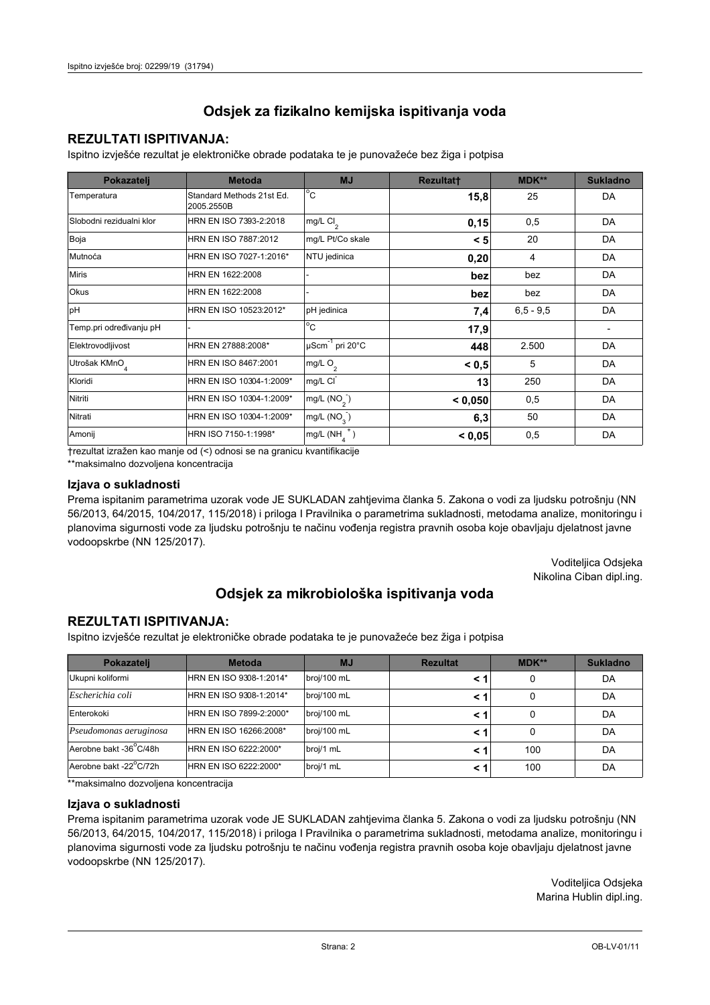## **REZULTATI ISPITIVANJA:**

Ispitno izviešće rezultat je elektroničke obrade podataka te je punovažeće bez žiga i potpisa

| Pokazatelj                | <b>Metoda</b>                           | <b>MJ</b>               | <b>Rezultatt</b> | MDK**         | <b>Sukladno</b> |
|---------------------------|-----------------------------------------|-------------------------|------------------|---------------|-----------------|
| Temperatura               | Standard Methods 21st Ed.<br>2005.2550B | $^{\circ}$ C            | 15,8             | 25            | DA              |
| Slobodni rezidualni klor  | HRN EN ISO 7393-2:2018                  | mg/L $Cl2$              | 0,15             | 0,5           | DA              |
| Boja                      | HRN EN ISO 7887:2012                    | mg/L Pt/Co skale        | < 5              | 20            | DA              |
| Mutnoća                   | HRN EN ISO 7027-1:2016*                 | NTU jedinica            | 0,20             | 4             | DA              |
| <b>Miris</b>              | HRN EN 1622:2008                        |                         | bez              | bez           | DA              |
| Okus                      | HRN EN 1622:2008                        |                         | bez              | bez           | DA              |
| pH                        | HRN EN ISO 10523:2012*                  | pH jedinica             | 7,4              | $6, 5 - 9, 5$ | DA              |
| Temp.pri određivanju pH   |                                         | $^{\circ}$ C            | 17,9             |               |                 |
| Elektrovodljivost         | HRN EN 27888:2008*                      | µScm-1 pri 20°C         | 448              | 2.500         | DA              |
| Utrošak KMnO <sub>4</sub> | HRN EN ISO 8467:2001                    | mg/L $O2$               | < 0.5            | 5             | DA              |
| Kloridi                   | HRN EN ISO 10304-1:2009*                | mg/L CI                 | 13               | 250           | DA              |
| Nitriti                   | HRN EN ISO 10304-1:2009*                | mg/L (NO <sub>2</sub> ) | < 0.050          | 0,5           | DA              |
| Nitrati                   | HRN EN ISO 10304-1:2009*                | mg/L (NO <sub>3</sub> ) | 6,3              | 50            | DA              |
| Amonij                    | HRN ISO 7150-1:1998*                    | mg/L (NH                | < 0,05           | 0,5           | DA              |

trezultat izražen kao manje od (<) odnosi se na granicu kvantifikacije

\*\*maksimalno dozvoljena koncentracija

#### Izjava o sukladnosti

Prema ispitanim parametrima uzorak vode JE SUKLADAN zahtievima članka 5. Zakona o vodi za ljudsku potrošnju (NN 56/2013, 64/2015, 104/2017, 115/2018) i priloga I Pravilnika o parametrima sukladnosti, metodama analize, monitoringu i planovima sigurnosti vode za ljudsku potrošnju te načinu vođenja registra pravnih osoba koje obavljaju djelatnost javne vodoopskrbe (NN 125/2017).

> Voditeljica Odsjeka Nikolina Ciban dipl.ing.

## Odsjek za mikrobiološka ispitivanja voda

### **REZULTATI ISPITIVANJA:**

Ispitno izvješće rezultat je elektroničke obrade podataka te je punovažeće bez žiga i potpisa

| Pokazatelj             | <b>Metoda</b>           | <b>MJ</b>   | <b>Rezultat</b> | $MDK**$ | <b>Sukladno</b> |
|------------------------|-------------------------|-------------|-----------------|---------|-----------------|
| Ukupni koliformi       | HRN EN ISO 9308-1:2014* | broj/100 mL |                 | 0       | DA              |
| Escherichia coli       | HRN EN ISO 9308-1:2014* | broj/100 mL |                 | 0       | DA              |
| Enterokoki             | HRN EN ISO 7899-2:2000* | broj/100 mL |                 | 0       | DA              |
| Pseudomonas aeruginosa | HRN EN ISO 16266:2008*  | broj/100 mL | < 1             | 0       | DA              |
| Aerobne bakt -36 C/48h | HRN EN ISO 6222:2000*   | broj/1 mL   |                 | 100     | DA              |
| Aerobne bakt -22°C/72h | HRN EN ISO 6222:2000*   | broj/1 mL   |                 | 100     | DA              |

\*\*maksimalno dozvoljena koncentracija

#### Izjava o sukladnosti

Prema ispitanim parametrima uzorak vode JE SUKLADAN zahtjevima članka 5. Zakona o vodi za ljudsku potrošnju (NN 56/2013, 64/2015, 104/2017, 115/2018) i priloga I Pravilnika o parametrima sukladnosti, metodama analize, monitoringu i planovima sigurnosti vode za ljudsku potrošnju te načinu vođenja registra pravnih osoba koje obavljaju djelatnost javne vodoopskrbe (NN 125/2017).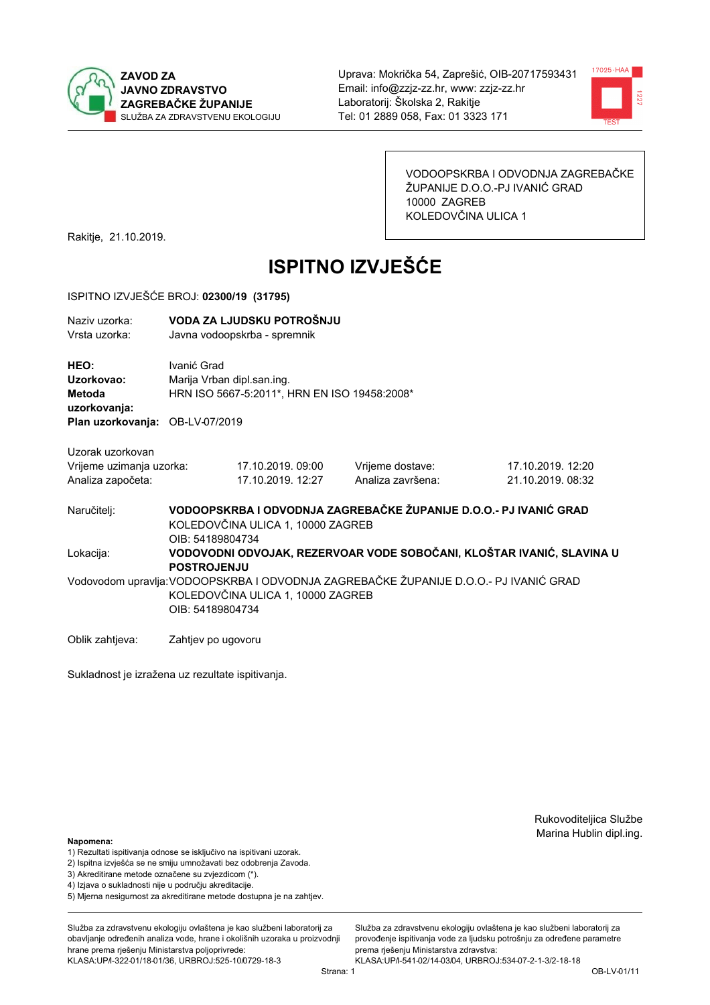



VODOOPSKRBA I ODVODNJA ZAGREBAČKE ŽUPANIJE D.O.O.-PJ IVANIĆ GRAD 10000 ZAGREB KOLEDOVČINA ULICA 1

17.10.2019. 12:20

Rakitje, 21.10.2019.

# **ISPITNO IZVJEŠĆE**

#### ISPITNO IZVJEŠĆE BROJ: 02300/19 (31795)

| Naziv uzorka: | VODA ZA LJUDSKU POTROŠNJU    |
|---------------|------------------------------|
| Vrsta uzorka: | Javna vodoopskrba - spremnik |

HEO: Ivanić Grad Uzorkovao: Mariia Vrban dipl.san.ing. HRN ISO 5667-5:2011\*, HRN EN ISO 19458:2008\* Metoda uzorkovanja: Plan uzorkovanja: OB-LV-07/2019

17.10.2019.09:00

Uzorak uzorkovan Vrijeme uzimanja uzorka: Analiza započeta:

Naručitelj:

Lokacija:

17.10.2019. 12:27 Analiza završena: 21 10 2019 08:32 VODOOPSKRBA I ODVODNJA ZAGREBAČKE ŽUPANIJE D.O.O.- PJ IVANIĆ GRAD KOLEDOVČINA ULICA 1, 10000 ZAGREB OIB: 54189804734 VODOVODNI ODVOJAK. REZERVOAR VODE SOBOČANI. KLOŠTAR IVANIĆ, SLAVINA U **POSTROJENJU** 

Vrijeme dostave:

Vodovodom upravlja: VODOOPSKRBA I ODVODNJA ZAGREBAČKE ŽUPANIJE D.O.O.- PJ IVANIĆ GRAD KOLEDOVČINA ULICA 1. 10000 ZAGREB OIB: 54189804734

Oblik zahtieva: Zahtiev po ugovoru

Sukladnost je izražena uz rezultate ispitivanja.

Rukovoditeljica Službe Marina Hublin dipl.ing.

Napomena:

- 1) Rezultati ispitivanja odnose se isključivo na ispitivani uzorak.
- 2) Ispitna izvješća se ne smiju umnožavati bez odobrenja Zavoda.

3) Akreditirane metode označene su zvjezdicom (\*).

- 4) Iziava o sukladnosti nije u područiu akreditacije.
- 5) Mjerna nesigurnost za akreditirane metode dostupna je na zahtjev.

Služba za zdravstvenu ekologiju ovlaštena je kao službeni laboratorij za obavlianie određenih analiza vode, hrane i okolišnih uzoraka u proizvodniji hrane prema rješenju Ministarstva poljoprivrede: KLASA:UP/l-322-01/18-01/36, URBROJ:525-10/0729-18-3

Služba za zdravstvenu ekologiju ovlaštena je kao službeni laboratorij za provođenie ispitivania vode za liudsku potrošniu za određene parametre prema riešenju Ministarstva zdravstva:

KLASA:UP/l-541-02/14-03/04, URBROJ:534-07-2-1-3/2-18-18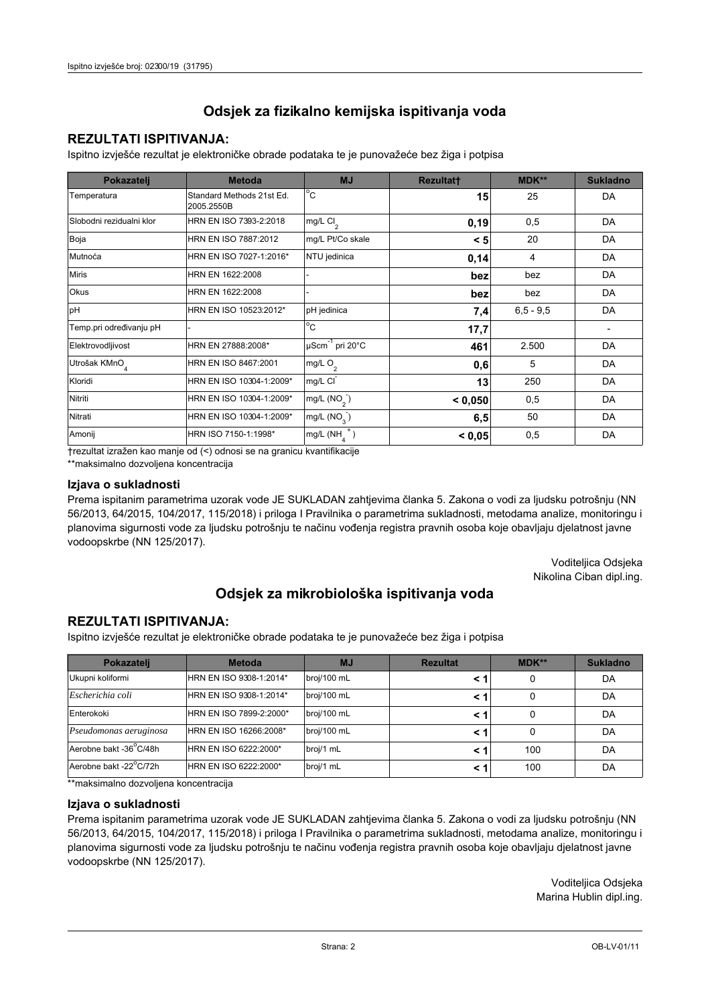## **REZULTATI ISPITIVANJA:**

Ispitno izviešće rezultat je elektroničke obrade podataka te je punovažeće bez žiga i potpisa

| Pokazatelj                | <b>Metoda</b>                           | <b>MJ</b>               | <b>Rezultatt</b> | MDK**         | <b>Sukladno</b> |
|---------------------------|-----------------------------------------|-------------------------|------------------|---------------|-----------------|
| Temperatura               | Standard Methods 21st Ed.<br>2005.2550B | $^{\circ}$ C            | 15               | 25            | DA              |
| Slobodni rezidualni klor  | HRN EN ISO 7393-2:2018                  | mg/L $Cl2$              | 0, 19            | 0,5           | DA              |
| Boja                      | HRN EN ISO 7887:2012                    | mg/L Pt/Co skale        | < 5              | 20            | DA              |
| Mutnoća                   | HRN EN ISO 7027-1:2016*                 | NTU jedinica            | 0,14             | 4             | DA              |
| <b>Miris</b>              | HRN EN 1622:2008                        |                         | bez              | bez           | DA              |
| Okus                      | HRN EN 1622:2008                        |                         | bez              | bez           | DA              |
| pH                        | HRN EN ISO 10523:2012*                  | pH jedinica             | 7,4              | $6, 5 - 9, 5$ | DA              |
| Temp.pri određivanju pH   |                                         | $^{\circ}$ C            | 17,7             |               |                 |
| Elektrovodljivost         | HRN EN 27888:2008*                      | µScm-1 pri 20°C         | 461              | 2.500         | DA              |
| Utrošak KMnO <sub>4</sub> | HRN EN ISO 8467:2001                    | mg/L $O2$               | 0,6              | 5             | DA              |
| Kloridi                   | HRN EN ISO 10304-1:2009*                | mg/L CI                 | 13               | 250           | DA              |
| Nitriti                   | HRN EN ISO 10304-1:2009*                | mg/L (NO <sub>2</sub> ) | < 0.050          | 0,5           | DA              |
| Nitrati                   | HRN EN ISO 10304-1:2009*                | mg/L $(NO_{\rm q}^-)$   | 6,5              | 50            | DA              |
| Amonij                    | HRN ISO 7150-1:1998*                    | mg/L (NH                | < 0,05           | 0,5           | DA              |

trezultat izražen kao manje od (<) odnosi se na granicu kvantifikacije

\*\*maksimalno dozvoljena koncentracija

#### Izjava o sukladnosti

Prema ispitanim parametrima uzorak vode JE SUKLADAN zahtievima članka 5. Zakona o vodi za ljudsku potrošnju (NN 56/2013, 64/2015, 104/2017, 115/2018) i priloga I Pravilnika o parametrima sukladnosti, metodama analize, monitoringu i planovima sigurnosti vode za ljudsku potrošnju te načinu vođenja registra pravnih osoba koje obavljaju djelatnost javne vodoopskrbe (NN 125/2017).

> Voditeljica Odsjeka Nikolina Ciban dipl.ing.

## Odsjek za mikrobiološka ispitivanja voda

### **REZULTATI ISPITIVANJA:**

Ispitno izvješće rezultat je elektroničke obrade podataka te je punovažeće bez žiga i potpisa

| Pokazatelj             | <b>Metoda</b>           | <b>MJ</b>   | <b>Rezultat</b> | MDK** | <b>Sukladno</b> |
|------------------------|-------------------------|-------------|-----------------|-------|-----------------|
| Ukupni koliformi       | HRN EN ISO 9308-1:2014* | broj/100 mL |                 | 0     | DA              |
| Escherichia coli       | HRN EN ISO 9308-1:2014* | broj/100 mL | < '             | 0     | DA              |
| Enterokoki             | HRN EN ISO 7899-2:2000* | broj/100 mL | < '             |       | DA              |
| Pseudomonas aeruginosa | HRN EN ISO 16266:2008*  | broj/100 mL | < '             | 0     | DA              |
| Aerobne bakt -36°C/48h | HRN EN ISO 6222:2000*   | broj/1 mL   |                 | 100   | DA              |
| Aerobne bakt -22°C/72h | HRN EN ISO 6222:2000*   | broj/1 mL   | < '             | 100   | DA              |

\*\*maksimalno dozvoljena koncentracija

#### Izjava o sukladnosti

Prema ispitanim parametrima uzorak vode JE SUKLADAN zahtjevima članka 5. Zakona o vodi za ljudsku potrošnju (NN 56/2013, 64/2015, 104/2017, 115/2018) i priloga I Pravilnika o parametrima sukladnosti, metodama analize, monitoringu i planovima sigurnosti vode za ljudsku potrošnju te načinu vođenja registra pravnih osoba koje obavljaju djelatnost javne vodoopskrbe (NN 125/2017).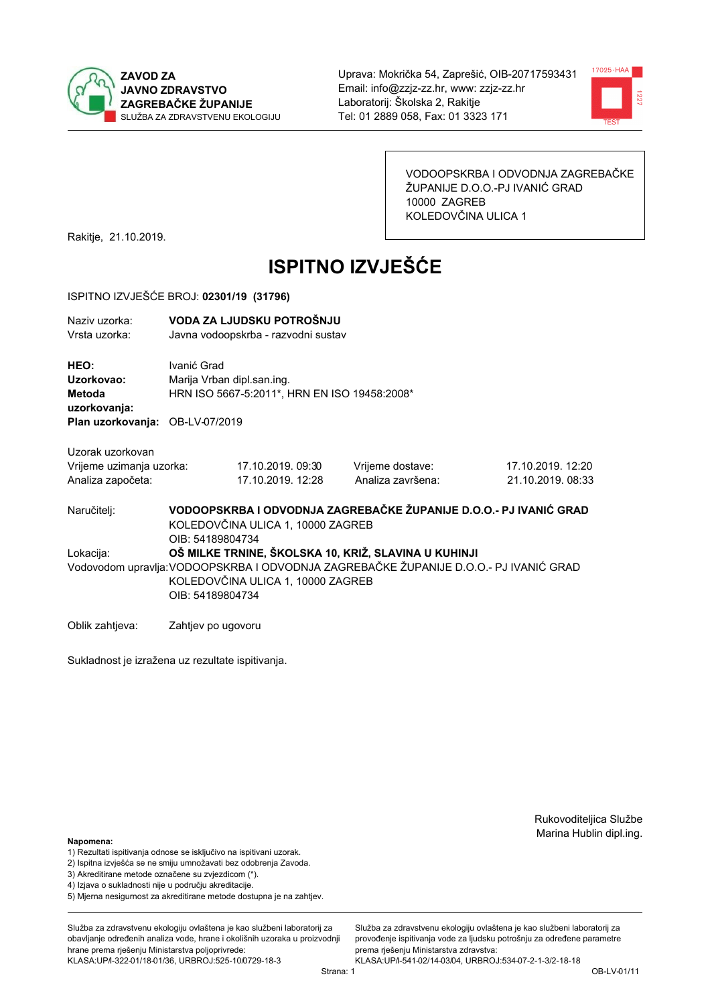



VODOOPSKRBA I ODVODNJA ZAGREBAČKE ŽUPANIJE D.O.O.-PJ IVANIĆ GRAD 10000 ZAGREB KOLEDOVČINA ULICA 1

Rakitje, 21.10.2019.

# **ISPITNO IZVJEŠĆE**

#### ISPITNO IZVJEŠĆE BROJ: 02301/19 (31796)

| Naziv uzorka:<br>Vrsta uzorka:                                    |                  | VODA ZA LJUDSKU POTROŠNJU<br>Javna vodoopskrba - razvodni sustav           |                                                                                                                                               |                                                                   |  |  |
|-------------------------------------------------------------------|------------------|----------------------------------------------------------------------------|-----------------------------------------------------------------------------------------------------------------------------------------------|-------------------------------------------------------------------|--|--|
| HEO:<br>Uzorkovao:<br>Metoda<br>uzorkovanja:                      | Ivanić Grad      | Marija Vrban dipl.san.ing.<br>HRN ISO 5667-5:2011*, HRN EN ISO 19458:2008* |                                                                                                                                               |                                                                   |  |  |
| Plan uzorkovanja: OB-LV-07/2019                                   |                  |                                                                            |                                                                                                                                               |                                                                   |  |  |
| Uzorak uzorkovan<br>Vrijeme uzimanja uzorka:<br>Analiza započeta: |                  | 17.10.2019.09:30<br>17.10.2019. 12:28                                      | Vrijeme dostave:<br>Analiza završena:                                                                                                         | 17.10.2019. 12:20<br>21.10.2019. 08:3                             |  |  |
| Naručiteli:                                                       | OIB: 54189804734 | KOLEDOVČINA ULICA 1, 10000 ZAGREB                                          |                                                                                                                                               | VODOOPSKRBA I ODVODNJA ZAGREBAČKE ŽUPANIJE D.O.O.- PJ IVANIĆ GRAD |  |  |
| Lokacija:                                                         |                  | KOLEDOVČINA ULICA 1, 10000 ZAGREB                                          | OŠ MILKE TRNINE, ŠKOLSKA 10, KRIŽ, SLAVINA U KUHINJI<br>Vodovodom upravlja: VODOOPSKRBA I ODVODNJA ZAGREBAČKE ŽUPANIJE D.O.O.- PJ IVANIĆ GRAD |                                                                   |  |  |

OIB: 54189804734

Oblik zahtjeva: Zahtjev po ugovoru

Sukladnost je izražena uz rezultate ispitivanja.

Rukovoditeljica Službe Marina Hublin dipl.ing.

 $12:20$  $08:33$ 

#### Napomena:

- 1) Rezultati ispitivanja odnose se isključivo na ispitivani uzorak.
- 2) Ispitna izvješća se ne smiju umnožavati bez odobrenja Zavoda.
- 3) Akreditirane metode označene su zvjezdicom (\*).
- 4) Iziava o sukladnosti nije u području akreditacije.
- 5) Mjerna nesigurnost za akreditirane metode dostupna je na zahtjev.

Služba za zdravstvenu ekologiju ovlaštena je kao službeni laboratorij za obavlianie određenih analiza vode, hrane i okolišnih uzoraka u proizvodniji hrane prema rješenju Ministarstva poljoprivrede: KLASA:UP/l-322-01/18-01/36, URBROJ:525-10/0729-18-3

Služba za zdravstvenu ekologiju ovlaštena je kao službeni laboratorij za provođenie ispitivania vode za liudsku potrošniu za određene parametre prema rješenju Ministarstva zdravstva:

KLASA:UP/l-541-02/14-03/04, URBROJ:534-07-2-1-3/2-18-18 Strana: 1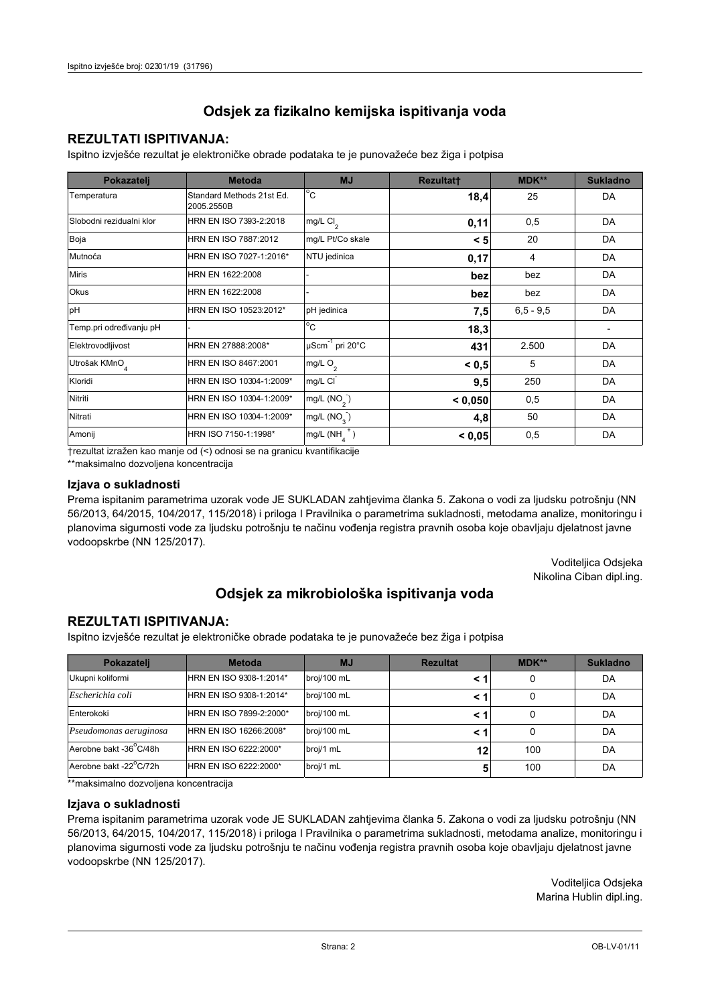## **REZULTATI ISPITIVANJA:**

Ispitno izviešće rezultat je elektroničke obrade podataka te je punovažeće bez žiga i potpisa

| Pokazatelj                | <b>Metoda</b>                           | <b>MJ</b>                   | <b>Rezultatt</b> | MDK**         | <b>Sukladno</b> |
|---------------------------|-----------------------------------------|-----------------------------|------------------|---------------|-----------------|
| Temperatura               | Standard Methods 21st Ed.<br>2005.2550B | $^{\circ}$ C                | 18,4             | 25            | DA              |
| Slobodni rezidualni klor  | HRN EN ISO 7393-2:2018                  | mg/L Cl <sub>2</sub>        | 0,11             | 0,5           | DA              |
| Boja                      | HRN EN ISO 7887:2012                    | mg/L Pt/Co skale            | < 5              | 20            | DA              |
| Mutnoća                   | HRN EN ISO 7027-1:2016*                 | NTU jedinica                | 0,17             | 4             | DA              |
| <b>Miris</b>              | HRN EN 1622:2008                        |                             | bez              | bez           | DA              |
| <b>Okus</b>               | HRN EN 1622:2008                        |                             | bez              | bez           | DA              |
| pH                        | HRN EN ISO 10523:2012*                  | pH jedinica                 | 7,5              | $6, 5 - 9, 5$ | DA              |
| Temp.pri određivanju pH   |                                         | $\overline{C}$              | 18,3             |               |                 |
| Elektrovodljivost         | HRN EN 27888:2008*                      | µScm <sup>-1</sup> pri 20°C | 431              | 2.500         | DA              |
| Utrošak KMnO <sub>4</sub> | HRN EN ISO 8467:2001                    | mg/L O <sub>2</sub>         | < 0, 5           | 5             | DA              |
| Kloridi                   | HRN EN ISO 10304-1:2009*                | mg/L CI                     | 9,5              | 250           | DA              |
| Nitriti                   | HRN EN ISO 10304-1:2009*                | mg/L $(NO2)$                | < 0.050          | 0,5           | DA              |
| Nitrati                   | HRN EN ISO 10304-1:2009*                | mg/L (NO <sub>3</sub> )     | 4,8              | 50            | DA              |
| Amonij                    | HRN ISO 7150-1:1998*                    | mg/L (NH                    | < 0,05           | 0,5           | DA              |

trezultat izražen kao manje od (<) odnosi se na granicu kvantifikacije

\*\*maksimalno dozvoljena koncentracija

#### Izjava o sukladnosti

Prema ispitanim parametrima uzorak vode JE SUKLADAN zahtievima članka 5. Zakona o vodi za ljudsku potrošnju (NN 56/2013, 64/2015, 104/2017, 115/2018) i priloga I Pravilnika o parametrima sukladnosti, metodama analize, monitoringu i planovima sigurnosti vode za ljudsku potrošnju te načinu vođenja registra pravnih osoba koje obavljaju djelatnost javne vodoopskrbe (NN 125/2017).

> Voditeljica Odsjeka Nikolina Ciban dipl.ing.

## Odsjek za mikrobiološka ispitivanja voda

### **REZULTATI ISPITIVANJA:**

Ispitno izvješće rezultat je elektroničke obrade podataka te je punovažeće bez žiga i potpisa

| Pokazatelj             | <b>Metoda</b>           | <b>MJ</b>   | <b>Rezultat</b> | MDK** | <b>Sukladno</b> |
|------------------------|-------------------------|-------------|-----------------|-------|-----------------|
| Ukupni koliformi       | HRN EN ISO 9308-1:2014* | broj/100 mL |                 | 0     | DA              |
| Escherichia coli       | HRN EN ISO 9308-1:2014* | broj/100 mL | < '             | 0     | DA              |
| Enterokoki             | HRN EN ISO 7899-2:2000* | broj/100 mL | < '             |       | DA              |
| Pseudomonas aeruginosa | HRN EN ISO 16266:2008*  | broj/100 mL | < '             | 0     | DA              |
| Aerobne bakt -36°C/48h | HRN EN ISO 6222:2000*   | broj/1 mL   | 12              | 100   | DA              |
| Aerobne bakt -22°C/72h | HRN EN ISO 6222:2000*   | broj/1 mL   | 5               | 100   | DA              |

\*\*maksimalno dozvoljena koncentracija

#### Izjava o sukladnosti

Prema ispitanim parametrima uzorak vode JE SUKLADAN zahtjevima članka 5. Zakona o vodi za ljudsku potrošnju (NN 56/2013, 64/2015, 104/2017, 115/2018) i priloga I Pravilnika o parametrima sukladnosti, metodama analize, monitoringu i planovima sigurnosti vode za ljudsku potrošnju te načinu vođenja registra pravnih osoba koje obavljaju djelatnost javne vodoopskrbe (NN 125/2017).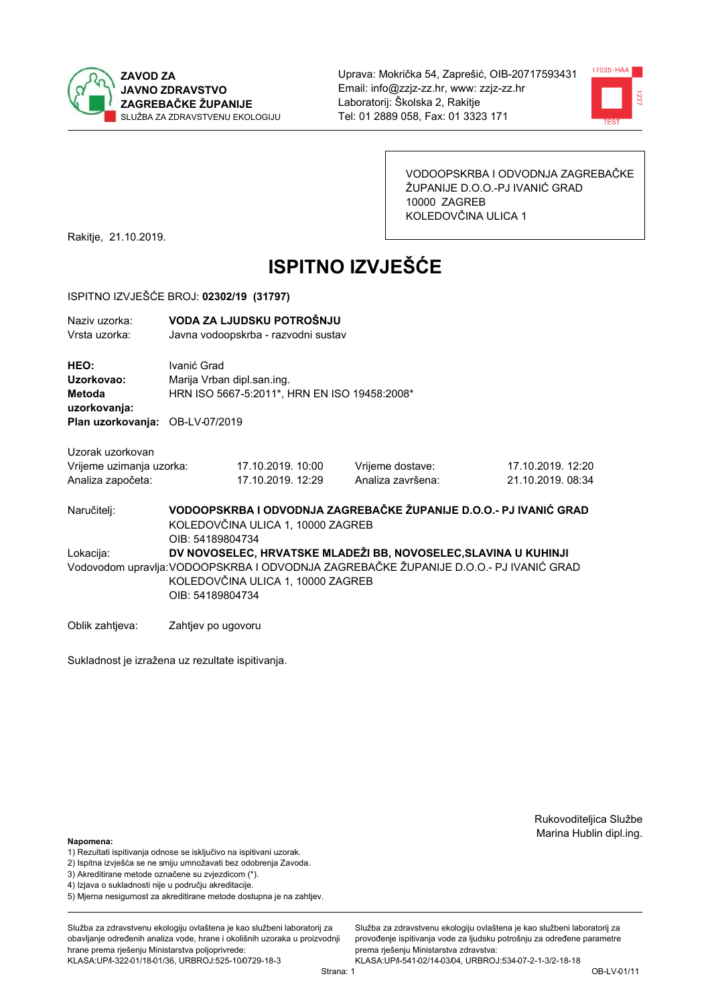



VODOOPSKRBA I ODVODNJA ZAGREBAČKE ŽUPANIJE D.O.O.-PJ IVANIĆ GRAD 10000 ZAGREB KOLEDOVČINA ULICA 1

17.10.2019. 12:20

21 10 2019 08:34

Rakitje, 21.10.2019.

# **ISPITNO IZVJEŠĆE**

#### ISPITNO IZVJEŠĆE BROJ: 02302/19 (31797)

| Naziv uzorka: | VODA ZA LJUDSKU POTROŠNJU           |
|---------------|-------------------------------------|
| Vrsta uzorka: | Javna vodoopskrba - razvodni sustav |

HEO: Ivanić Grad Uzorkovao: Marija Vrban dipl.san.ing. HRN ISO 5667-5:2011\*, HRN EN ISO 19458:2008\* Metoda uzorkovanja: Plan uzorkovanja: OB-LV-07/2019

17.10.2019.10:00

17.10.2019. 12:29

Uzorak uzorkovan Vrijeme uzimanja uzorka: Analiza započeta:

Naručitelj:

Lokacija:

VODOOPSKRBA I ODVODNJA ZAGREBAČKE ŽUPANIJE D.O.O.- PJ IVANIĆ GRAD KOLEDOVČINA ULICA 1, 10000 ZAGREB OIB: 54189804734 DV NOVOSELEC, HRVATSKE MLADEŽI BB. NOVOSELEC, SLAVINA U KUHINJI Vodovodom upravlja: VODOOPSKRBA I ODVODNJA ZAGREBAČKE ŽUPANIJE D.O.O.- PJ IVANIĆ GRAD KOLEDOVČINA ULICA 1, 10000 ZAGREB

Vrijeme dostave:

Analiza završena:

OIB: 54189804734

Oblik zahtjeva: Zahtjev po ugovoru

Sukladnost je izražena uz rezultate ispitivanja.

Rukovoditeljica Službe Marina Hublin dipl.ing.

Napomena:

- 1) Rezultati ispitivanja odnose se isključivo na ispitivani uzorak.
- 2) Ispitna izvješća se ne smiju umnožavati bez odobrenja Zavoda.

3) Akreditirane metode označene su zvjezdicom (\*).

- 4) Iziava o sukladnosti nije u područiu akreditacije.
- 5) Mjerna nesigurnost za akreditirane metode dostupna je na zahtjev.

Služba za zdravstvenu ekologiju ovlaštena je kao službeni laboratorij za obavlianie određenih analiza vode, hrane i okolišnih uzoraka u proizvodniji hrane prema rješenju Ministarstva poljoprivrede: KLASA:UP/l-322-01/18-01/36, URBROJ:525-10/0729-18-3

Služba za zdravstvenu ekologiju ovlaštena je kao službeni laboratorij za provođenie ispitivania vode za liudsku potrošniu za određene parametre prema riešenju Ministarstva zdravstva:

KLASA:UP/l-541-02/14-03/04, URBROJ:534-07-2-1-3/2-18-18 Strana: 1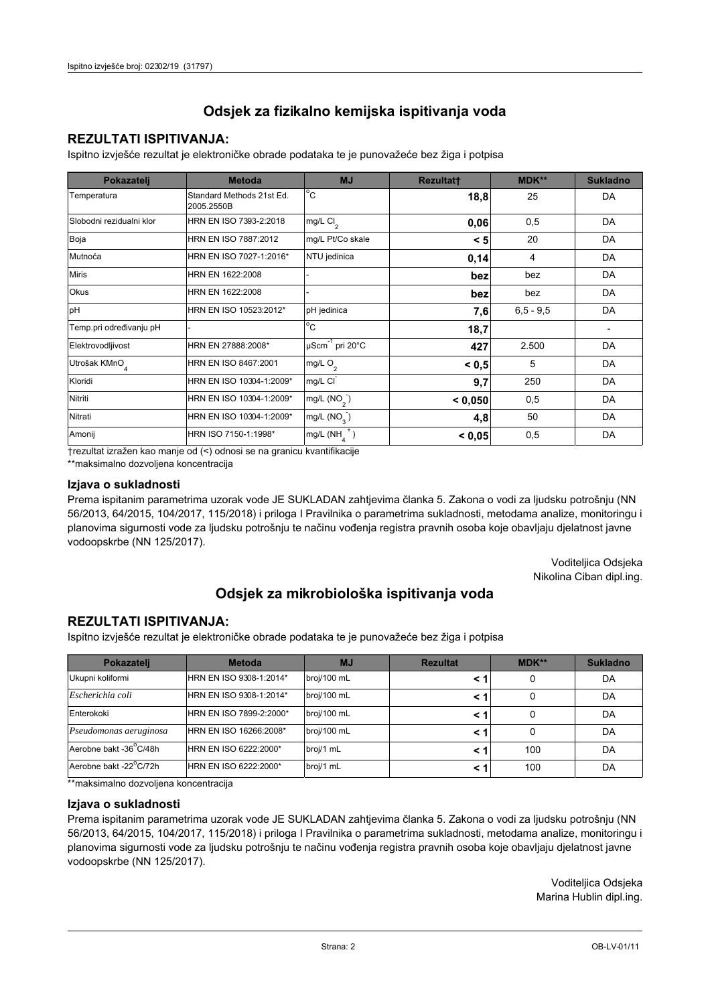## **REZULTATI ISPITIVANJA:**

Ispitno izviešće rezultat je elektroničke obrade podataka te je punovažeće bez žiga i potpisa

| Pokazatelj                | <b>Metoda</b>                           | <b>MJ</b>                   | <b>Rezultatt</b> | MDK**         | <b>Sukladno</b> |
|---------------------------|-----------------------------------------|-----------------------------|------------------|---------------|-----------------|
| Temperatura               | Standard Methods 21st Ed.<br>2005.2550B | $^{\circ}$ C                | 18,8             | 25            | DA              |
| Slobodni rezidualni klor  | HRN EN ISO 7393-2:2018                  | mg/L Cl <sub>2</sub>        | 0,06             | 0,5           | DA              |
| Boja                      | HRN EN ISO 7887:2012                    | mg/L Pt/Co skale            | < 5              | 20            | DA              |
| Mutnoća                   | HRN EN ISO 7027-1:2016*                 | NTU jedinica                | 0,14             | 4             | DA              |
| <b>Miris</b>              | HRN EN 1622:2008                        |                             | bez              | bez           | DA              |
| <b>Okus</b>               | HRN EN 1622:2008                        |                             | bez              | bez           | DA              |
| pH                        | HRN EN ISO 10523:2012*                  | pH jedinica                 | 7,6              | $6, 5 - 9, 5$ | DA              |
| Temp.pri određivanju pH   |                                         | $\overline{C}$              | 18,7             |               |                 |
| Elektrovodljivost         | HRN EN 27888:2008*                      | µScm <sup>-1</sup> pri 20°C | 427              | 2.500         | DA              |
| Utrošak KMnO <sub>4</sub> | HRN EN ISO 8467:2001                    | mg/L O <sub>2</sub>         | < 0, 5           | 5             | DA              |
| Kloridi                   | HRN EN ISO 10304-1:2009*                | mg/L CI                     | 9,7              | 250           | DA              |
| Nitriti                   | HRN EN ISO 10304-1:2009*                | mg/L $(NO2)$                | < 0,050          | 0,5           | DA              |
| Nitrati                   | HRN EN ISO 10304-1:2009*                | mg/L (NO <sub>3</sub> )     | 4,8              | 50            | DA              |
| Amonij                    | HRN ISO 7150-1:1998*                    | mg/L (NH                    | < 0,05           | 0,5           | DA              |

trezultat izražen kao manje od (<) odnosi se na granicu kvantifikacije

\*\*maksimalno dozvoljena koncentracija

#### Izjava o sukladnosti

Prema ispitanim parametrima uzorak vode JE SUKLADAN zahtievima članka 5. Zakona o vodi za ljudsku potrošnju (NN 56/2013, 64/2015, 104/2017, 115/2018) i priloga I Pravilnika o parametrima sukladnosti, metodama analize, monitoringu i planovima sigurnosti vode za ljudsku potrošnju te načinu vođenja registra pravnih osoba koje obavljaju djelatnost javne vodoopskrbe (NN 125/2017).

> Voditeljica Odsjeka Nikolina Ciban dipl.ing.

## Odsjek za mikrobiološka ispitivanja voda

### **REZULTATI ISPITIVANJA:**

Ispitno izvješće rezultat je elektroničke obrade podataka te je punovažeće bez žiga i potpisa

| Pokazatelj             | <b>Metoda</b>           | <b>MJ</b>   | <b>Rezultat</b> | MDK** | <b>Sukladno</b> |
|------------------------|-------------------------|-------------|-----------------|-------|-----------------|
| Ukupni koliformi       | HRN EN ISO 9308-1:2014* | broj/100 mL |                 |       | DA              |
| Escherichia coli       | HRN EN ISO 9308-1:2014* | broj/100 mL | < 1             |       | DA              |
| Enterokoki             | HRN EN ISO 7899-2:2000* | broj/100 mL | < '             |       | DA              |
| Pseudomonas aeruginosa | HRN EN ISO 16266:2008*  | broj/100 mL | < 1             | 0     | DA              |
| Aerobne bakt -36 C/48h | HRN EN ISO 6222:2000*   | broj/1 mL   |                 | 100   | DA              |
| Aerobne bakt -22°C/72h | HRN EN ISO 6222:2000*   | broj/1 mL   | < 1             | 100   | DA              |

\*\*maksimalno dozvoljena koncentracija

#### Izjava o sukladnosti

Prema ispitanim parametrima uzorak vode JE SUKLADAN zahtjevima članka 5. Zakona o vodi za ljudsku potrošnju (NN 56/2013, 64/2015, 104/2017, 115/2018) i priloga I Pravilnika o parametrima sukladnosti, metodama analize, monitoringu i planovima sigurnosti vode za ljudsku potrošnju te načinu vođenja registra pravnih osoba koje obavljaju djelatnost javne vodoopskrbe (NN 125/2017).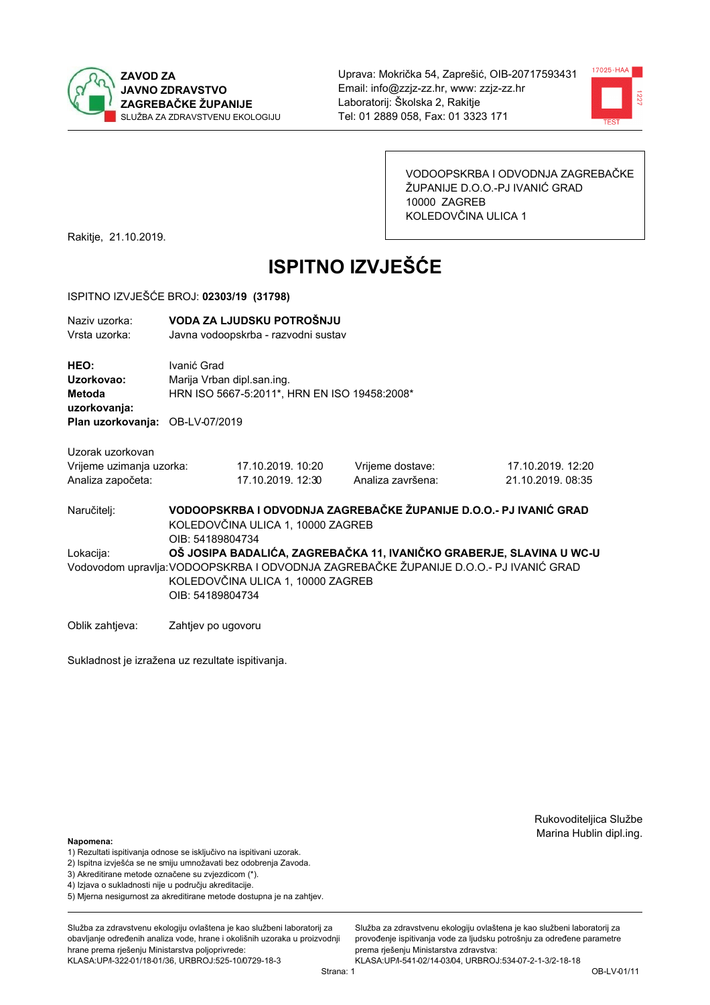



VODOOPSKRBA I ODVODNJA ZAGREBAČKE ŽUPANIJE D.O.O.-PJ IVANIĆ GRAD 10000 ZAGREB KOLEDOVČINA ULICA 1

Rakitje, 21.10.2019.

# **ISPITNO IZVJEŠĆE**

#### ISPITNO IZVJEŠĆE BROJ: 02303/19 (31798)

| Naziv uzorka:<br>Vrsta uzorka:                      |                                           | VODA ZA LJUDSKU POTROŠNJU<br>Javna vodoopskrba - razvodni sustav |                                                                      |                   |  |  |
|-----------------------------------------------------|-------------------------------------------|------------------------------------------------------------------|----------------------------------------------------------------------|-------------------|--|--|
| <b>HEO:</b><br>Uzorkovao:<br>Metoda<br>uzorkovanja: | Ivanić Grad<br>Marija Vrban dipl.san.ing. | HRN ISO 5667-5:2011*, HRN EN ISO 19458:2008*                     |                                                                      |                   |  |  |
| Plan uzorkovanja: OB-LV-07/2019                     |                                           |                                                                  |                                                                      |                   |  |  |
| Uzorak uzorkovan                                    |                                           |                                                                  |                                                                      |                   |  |  |
| Vrijeme uzimanja uzorka:                            |                                           | 17.10.2019. 10:20                                                | Vrijeme dostave:                                                     | 17.10.2019. 12:20 |  |  |
| Analiza započeta:                                   |                                           | 17.10.2019. 12:30                                                | Analiza završena:                                                    | 21.10.2019. 08:35 |  |  |
| Naručitelj:                                         | OIB: 54189804734                          | KOLEDOVČINA ULICA 1, 10000 ZAGREB                                | VODOOPSKRBA I ODVODNJA ZAGREBAČKE ŽUPANIJE D.O.O.- PJ IVANIĆ GRAD    |                   |  |  |
| المستقط سياسا                                       |                                           |                                                                  | O 100 DA PARALIÓA ZAORERA GIZA AZ INZAHÓIZO ORARER IELOLANINA ILIMOJ |                   |  |  |

OŠ JOSIPA BADALIĆA, ZAGREBAČKA 11, IVANIČKO GRABERJE, SLAVINA U WC-U Lokacija: Vodovodom upravlja: VODOOPSKRBA I ODVODNJA ZAGREBAČKE ŽUPANIJE D.O.O.- PJ IVANIĆ GRAD KOLEDOVČINA ULICA 1, 10000 ZAGREB OIB: 54189804734

Oblik zahtjeva: Zahtjev po ugovoru

Sukladnost je izražena uz rezultate ispitivanja.

Rukovoditeljica Službe Marina Hublin dipl.ing.

#### Napomena:

- 1) Rezultati ispitivanja odnose se isključivo na ispitivani uzorak.
- 2) Ispitna izvješća se ne smiju umnožavati bez odobrenja Zavoda.
- 3) Akreditirane metode označene su zvjezdicom (\*).
- 4) Iziava o sukladnosti nije u području akreditacije.
- 5) Mjerna nesigurnost za akreditirane metode dostupna je na zahtjev.

Služba za zdravstvenu ekologiju ovlaštena je kao službeni laboratorij za obavlianie određenih analiza vode, hrane i okolišnih uzoraka u proizvodniji hrane prema rješenju Ministarstva poljoprivrede: KLASA:UP/l-322-01/18-01/36, URBROJ:525-10/0729-18-3

KLASA:UP/l-541-02/14-03/04, URBROJ:534-07-2-1-3/2-18-18 OB-LV-01/11

Služba za zdravstvenu ekologiju ovlaštena je kao službeni laboratorij za

provođenie ispitivania vode za liudsku potrošniu za određene parametre

prema rješenju Ministarstva zdravstva: